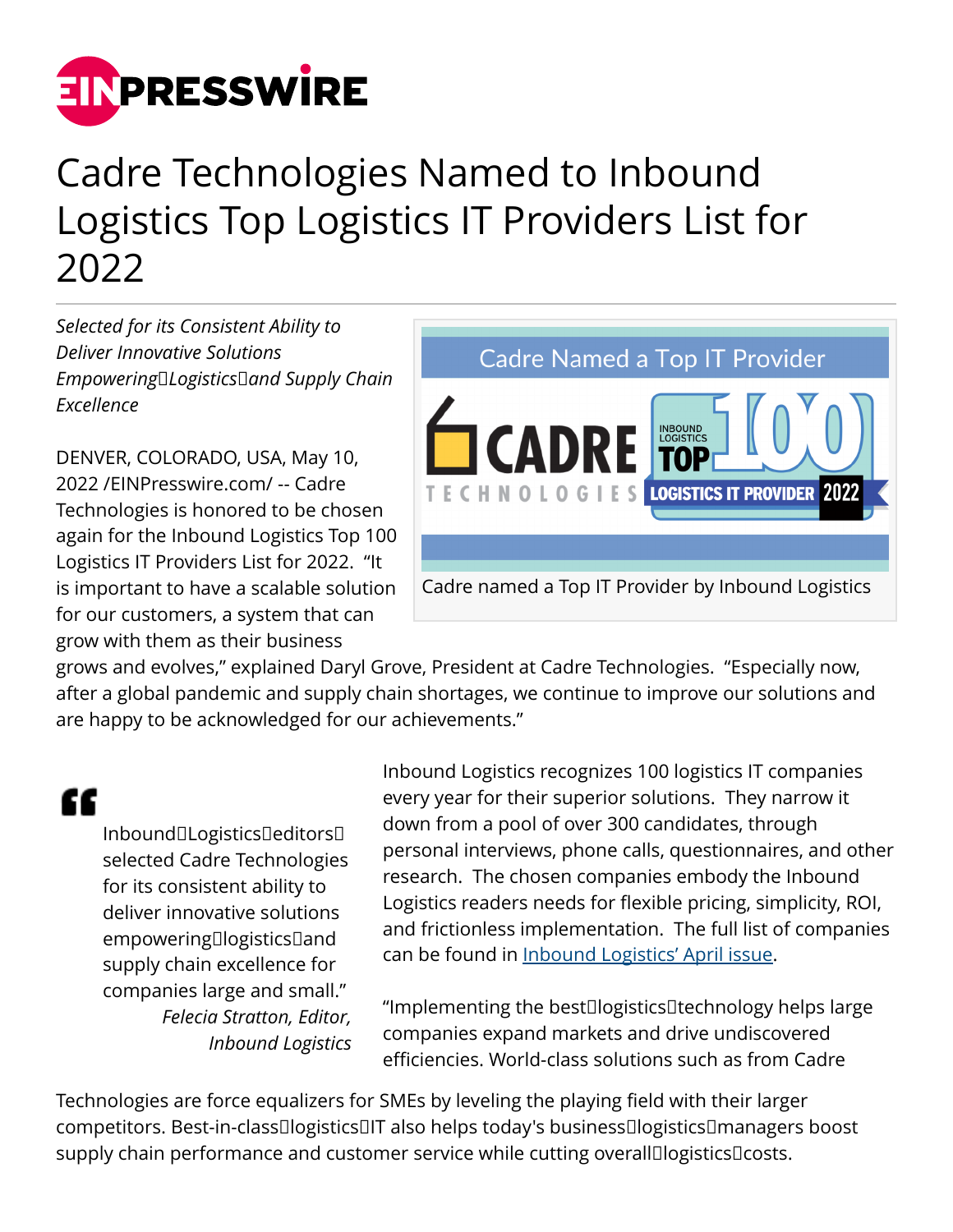

## Cadre Technologies Named to Inbound Logistics Top Logistics IT Providers List for 2022

*Selected for its Consistent Ability to Deliver Innovative Solutions Empowering Logistics and Supply Chain Excellence*

DENVER, COLORADO, USA, May 10, 2022 /[EINPresswire.com](http://www.einpresswire.com)/ -- Cadre Technologies is honored to be chosen again for the Inbound Logistics Top 100 Logistics IT Providers List for 2022. "It is important to have a scalable solution for our customers, a system that can grow with them as their business



grows and evolves," explained Daryl Grove, President at Cadre Technologies. "Especially now, after a global pandemic and supply chain shortages, we continue to improve our solutions and are happy to be acknowledged for our achievements."

"

Inbound□Logistics□editors□ selected Cadre Technologies for its consistent ability to deliver innovative solutions empowering logistics and supply chain excellence for companies large and small." *Felecia Stratton, Editor, Inbound Logistics* Inbound Logistics recognizes 100 logistics IT companies every year for their superior solutions. They narrow it down from a pool of over 300 candidates, through personal interviews, phone calls, questionnaires, and other research. The chosen companies embody the Inbound Logistics readers needs for flexible pricing, simplicity, ROI, and frictionless implementation. The full list of companies can be found in [Inbound Logistics' April issue.](https://magazine.inboundlogistics.com/link/190817/)

"Implementing the best logistics technology helps large companies expand markets and drive undiscovered efficiencies. World-class solutions such as from Cadre

Technologies are force equalizers for SMEs by leveling the playing field with their larger competitors. Best-in-class logistics IT also helps today's business logistics managers boost supply chain performance and customer service while cutting overall logistics costs.